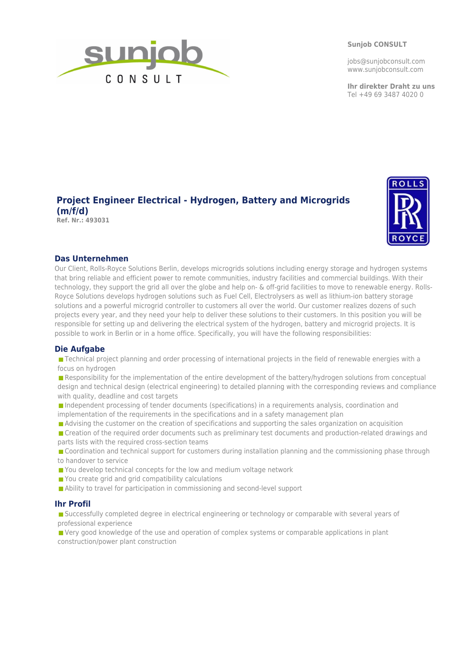**Sunjob CONSULT**

jobs@sunjobconsult.com www.sunjobconsult.com

**Ihr direkter Draht zu uns** Tel +49 69 3487 4020 0



# **Project Engineer Electrical - Hydrogen, Battery and Microgrids (m/f/d)**

**Ref. Nr.: 493031**



## **Das Unternehmen**

Our Client, Rolls-Royce Solutions Berlin, develops microgrids solutions including energy storage and hydrogen systems that bring reliable and efficient power to remote communities, industry facilities and commercial buildings. With their technology, they support the grid all over the globe and help on- & off-grid facilities to move to renewable energy. Rolls-Royce Solutions develops hydrogen solutions such as Fuel Cell, Electrolysers as well as lithium-ion battery storage solutions and a powerful microgrid controller to customers all over the world. Our customer realizes dozens of such projects every year, and they need your help to deliver these solutions to their customers. In this position you will be responsible for setting up and delivering the electrical system of the hydrogen, battery and microgrid projects. It is possible to work in Berlin or in a home office. Specifically, you will have the following responsibilities:

## **Die Aufgabe**

Technical project planning and order processing of international projects in the field of renewable energies with a focus on hydrogen

Responsibility for the implementation of the entire development of the battery/hydrogen solutions from conceptual design and technical design (electrical engineering) to detailed planning with the corresponding reviews and compliance with quality, deadline and cost targets

Independent processing of tender documents (specifications) in a requirements analysis, coordination and implementation of the requirements in the specifications and in a safety management plan

Advising the customer on the creation of specifications and supporting the sales organization on acquisition

Creation of the required order documents such as preliminary test documents and production-related drawings and parts lists with the required cross-section teams

Coordination and technical support for customers during installation planning and the commissioning phase through to handover to service

- You develop technical concepts for the low and medium voltage network
- You create grid and grid compatibility calculations
- Ability to travel for participation in commissioning and second-level support

## **Ihr Profil**

■ Successfully completed degree in electrical engineering or technology or comparable with several years of professional experience

**P** Very good knowledge of the use and operation of complex systems or comparable applications in plant construction/power plant construction